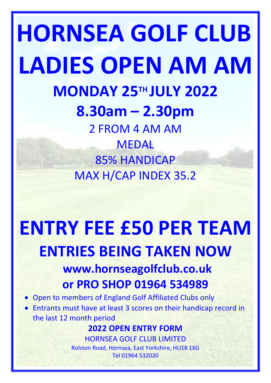## **HORNSEA GOLF CLUB LADIES OPEN AM AM MONDAY 25TH JULY 2022 8.30am – 2.30pm** 2 FROM 4 AM AM MEDAL 85% HANDICAP MAX H/CAP INDEX 35.2

# **ENTRY FEE £50 PER TEAM ENTRIES BEING TAKEN NOW**

## **www.hornseagolfclub.co.uk or PRO SHOP 01964 534989**

- Open to members of England Golf Affiliated Clubs only
- Entrants must have at least 3 scores on their handicap record in the last 12 month period

## **2022 OPEN ENTRY FORM**

HORNSEA GOLF CLUB LIMITED Rolston Road, Hornsea, East Yorkshire, HU18 1XG Tel 01964 532020